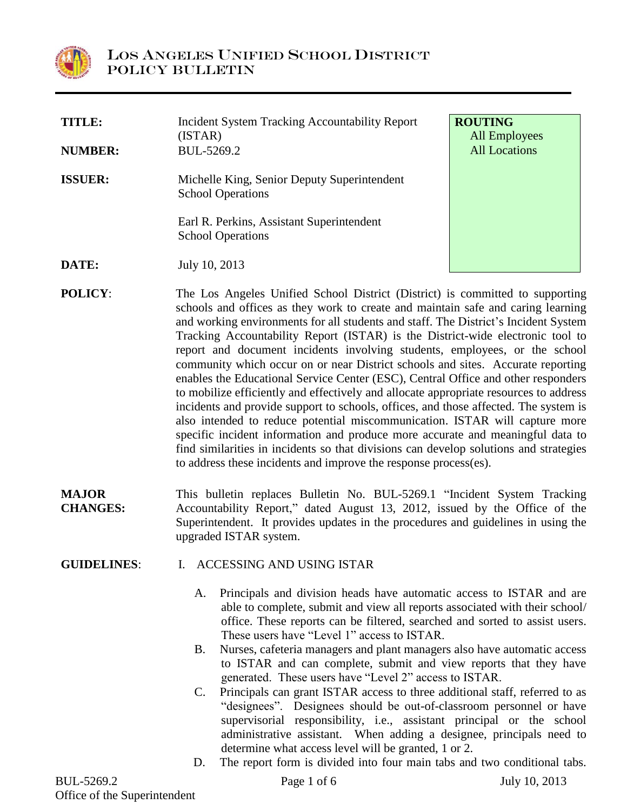

| TITLE:         | <b>Incident System Tracking Accountability Report</b><br>(ISTAR)                                                                                                  | <b>ROUTING</b><br><b>All Employees</b> |
|----------------|-------------------------------------------------------------------------------------------------------------------------------------------------------------------|----------------------------------------|
| <b>NUMBER:</b> | BUL-5269.2                                                                                                                                                        | <b>All Locations</b>                   |
| <b>ISSUER:</b> | Michelle King, Senior Deputy Superintendent<br><b>School Operations</b><br>Earl R. Perkins, Assistant Superintendent<br><b>School Operations</b>                  |                                        |
| DATE:          | July 10, 2013                                                                                                                                                     |                                        |
| <b>POLICY:</b> | The Los Angeles Unified School District (District) is committed to supporting<br>schools and offices as they work to create and maintain safe and caring learning |                                        |

- schools and offices as they work to create and maintain safe and caring learning and working environments for all students and staff. The District's Incident System Tracking Accountability Report (ISTAR) is the District-wide electronic tool to report and document incidents involving students, employees, or the school community which occur on or near District schools and sites. Accurate reporting enables the Educational Service Center (ESC), Central Office and other responders to mobilize efficiently and effectively and allocate appropriate resources to address incidents and provide support to schools, offices, and those affected. The system is also intended to reduce potential miscommunication. ISTAR will capture more specific incident information and produce more accurate and meaningful data to find similarities in incidents so that divisions can develop solutions and strategies to address these incidents and improve the response process(es).
- **MAJOR CHANGES:** This bulletin replaces Bulletin No. BUL-5269.1 "Incident System Tracking Accountability Report," dated August 13, 2012, issued by the Office of the Superintendent. It provides updates in the procedures and guidelines in using the upgraded ISTAR system.

## **GUIDELINES**: I. ACCESSING AND USING ISTAR

- A. Principals and division heads have automatic access to ISTAR and are able to complete, submit and view all reports associated with their school/ office. These reports can be filtered, searched and sorted to assist users. These users have "Level 1" access to ISTAR.
- B. Nurses, cafeteria managers and plant managers also have automatic access to ISTAR and can complete, submit and view reports that they have generated. These users have "Level 2" access to ISTAR.
- C. Principals can grant ISTAR access to three additional staff, referred to as "designees". Designees should be out-of-classroom personnel or have supervisorial responsibility, i.e., assistant principal or the school administrative assistant. When adding a designee, principals need to determine what access level will be granted, 1 or 2.
- D. The report form is divided into four main tabs and two conditional tabs.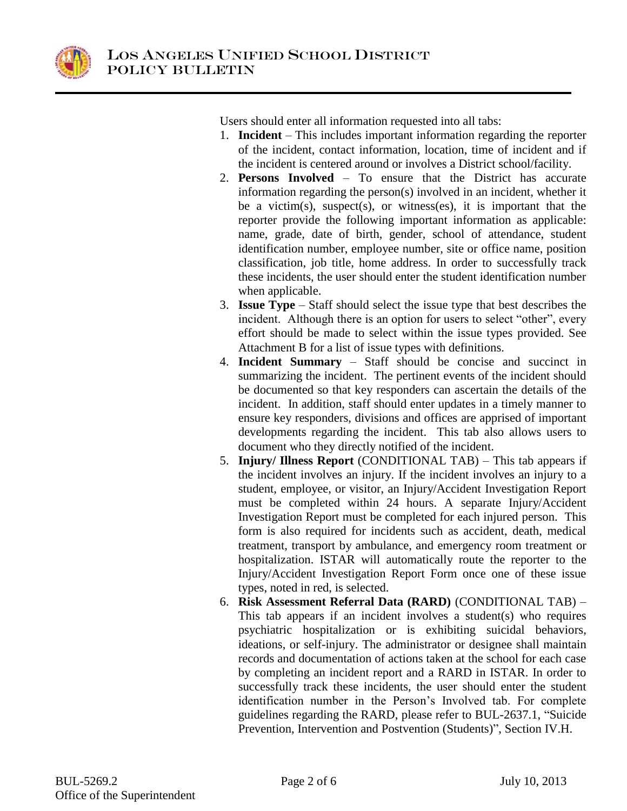

Users should enter all information requested into all tabs:

- 1. **Incident** This includes important information regarding the reporter of the incident, contact information, location, time of incident and if the incident is centered around or involves a District school/facility.
- 2. **Persons Involved** To ensure that the District has accurate information regarding the person(s) involved in an incident, whether it be a victim(s), suspect(s), or witness(es), it is important that the reporter provide the following important information as applicable: name, grade, date of birth, gender, school of attendance, student identification number, employee number, site or office name, position classification, job title, home address. In order to successfully track these incidents, the user should enter the student identification number when applicable.
- 3. **Issue Type** Staff should select the issue type that best describes the incident. Although there is an option for users to select "other", every effort should be made to select within the issue types provided. See Attachment B for a list of issue types with definitions.
- 4. **Incident Summary** Staff should be concise and succinct in summarizing the incident. The pertinent events of the incident should be documented so that key responders can ascertain the details of the incident. In addition, staff should enter updates in a timely manner to ensure key responders, divisions and offices are apprised of important developments regarding the incident. This tab also allows users to document who they directly notified of the incident.
- 5. **Injury/ Illness Report** (CONDITIONAL TAB) This tab appears if the incident involves an injury. If the incident involves an injury to a student, employee, or visitor, an Injury/Accident Investigation Report must be completed within 24 hours. A separate Injury/Accident Investigation Report must be completed for each injured person. This form is also required for incidents such as accident, death, medical treatment, transport by ambulance, and emergency room treatment or hospitalization. ISTAR will automatically route the reporter to the Injury/Accident Investigation Report Form once one of these issue types, noted in red, is selected.
- 6. **Risk Assessment Referral Data (RARD)** (CONDITIONAL TAB) This tab appears if an incident involves a student(s) who requires psychiatric hospitalization or is exhibiting suicidal behaviors, ideations, or self-injury. The administrator or designee shall maintain records and documentation of actions taken at the school for each case by completing an incident report and a RARD in ISTAR. In order to successfully track these incidents, the user should enter the student identification number in the Person's Involved tab. For complete guidelines regarding the RARD, please refer to BUL-2637.1, "Suicide Prevention, Intervention and Postvention (Students)", Section IV.H.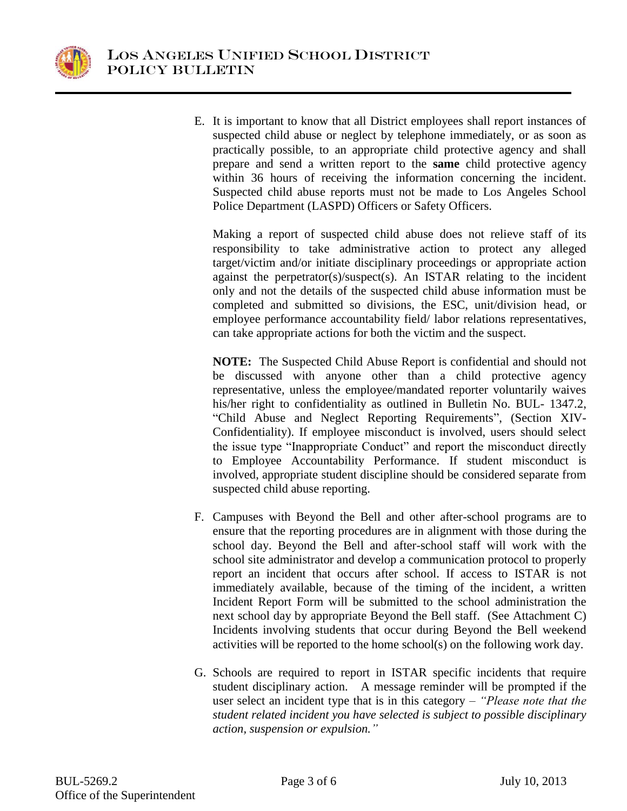

E. It is important to know that all District employees shall report instances of suspected child abuse or neglect by telephone immediately, or as soon as practically possible, to an appropriate child protective agency and shall prepare and send a written report to the **same** child protective agency within 36 hours of receiving the information concerning the incident. Suspected child abuse reports must not be made to Los Angeles School Police Department (LASPD) Officers or Safety Officers.

Making a report of suspected child abuse does not relieve staff of its responsibility to take administrative action to protect any alleged target/victim and/or initiate disciplinary proceedings or appropriate action against the perpetrator(s)/suspect(s). An ISTAR relating to the incident only and not the details of the suspected child abuse information must be completed and submitted so divisions, the ESC, unit/division head, or employee performance accountability field/ labor relations representatives, can take appropriate actions for both the victim and the suspect.

**NOTE:** The Suspected Child Abuse Report is confidential and should not be discussed with anyone other than a child protective agency representative, unless the employee/mandated reporter voluntarily waives his/her right to confidentiality as outlined in Bulletin No. BUL- 1347.2, "Child Abuse and Neglect Reporting Requirements", (Section XIV-Confidentiality). If employee misconduct is involved, users should select the issue type "Inappropriate Conduct" and report the misconduct directly to Employee Accountability Performance. If student misconduct is involved, appropriate student discipline should be considered separate from suspected child abuse reporting.

- F. Campuses with Beyond the Bell and other after-school programs are to ensure that the reporting procedures are in alignment with those during the school day. Beyond the Bell and after-school staff will work with the school site administrator and develop a communication protocol to properly report an incident that occurs after school. If access to ISTAR is not immediately available, because of the timing of the incident, a written Incident Report Form will be submitted to the school administration the next school day by appropriate Beyond the Bell staff. (See Attachment C) Incidents involving students that occur during Beyond the Bell weekend activities will be reported to the home school(s) on the following work day.
- G. Schools are required to report in ISTAR specific incidents that require student disciplinary action. A message reminder will be prompted if the user select an incident type that is in this category – *"Please note that the student related incident you have selected is subject to possible disciplinary action, suspension or expulsion."*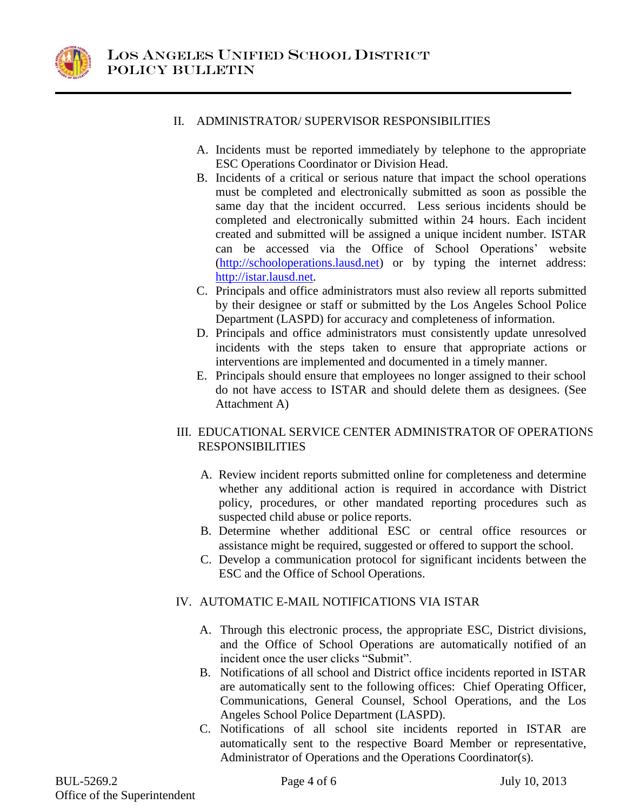

## II. ADMINISTRATOR/ SUPERVISOR RESPONSIBILITIES

- A. Incidents must be reported immediately by telephone to the appropriate ESC Operations Coordinator or Division Head.
- B. Incidents of a critical or serious nature that impact the school operations must be completed and electronically submitted as soon as possible the same day that the incident occurred. Less serious incidents should be completed and electronically submitted within 24 hours. Each incident created and submitted will be assigned a unique incident number. ISTAR can be accessed via the Office of School Operations' website [\(http://schooloperations.lausd.net\)](http://schooloperations.lausd.net/) or by typing the internet address: [http://istar.lausd.net.](http://istar.lausd.net/)
- C. Principals and office administrators must also review all reports submitted by their designee or staff or submitted by the Los Angeles School Police Department (LASPD) for accuracy and completeness of information.
- D. Principals and office administrators must consistently update unresolved incidents with the steps taken to ensure that appropriate actions or interventions are implemented and documented in a timely manner.
- E. Principals should ensure that employees no longer assigned to their school do not have access to ISTAR and should delete them as designees. (See Attachment A)

## III. EDUCATIONAL SERVICE CENTER ADMINISTRATOR OF OPERATIONS RESPONSIBILITIES

- A. Review incident reports submitted online for completeness and determine whether any additional action is required in accordance with District policy, procedures, or other mandated reporting procedures such as suspected child abuse or police reports.
- B. Determine whether additional ESC or central office resources or assistance might be required, suggested or offered to support the school.
- C. Develop a communication protocol for significant incidents between the ESC and the Office of School Operations.

## IV. AUTOMATIC E-MAIL NOTIFICATIONS VIA ISTAR

- A. Through this electronic process, the appropriate ESC, District divisions, and the Office of School Operations are automatically notified of an incident once the user clicks "Submit".
- B. Notifications of all school and District office incidents reported in ISTAR are automatically sent to the following offices: Chief Operating Officer, Communications, General Counsel, School Operations, and the Los Angeles School Police Department (LASPD).
- C. Notifications of all school site incidents reported in ISTAR are automatically sent to the respective Board Member or representative, Administrator of Operations and the Operations Coordinator(s).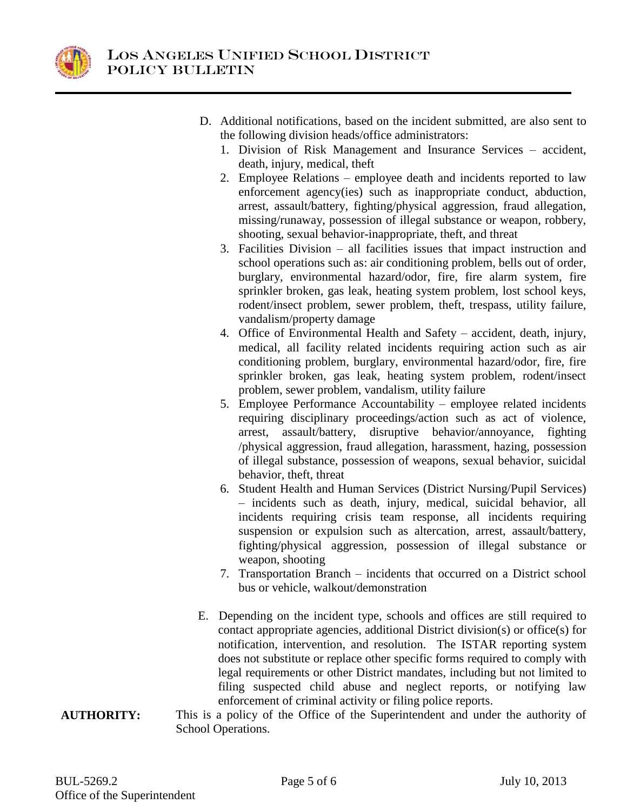

- D. Additional notifications, based on the incident submitted, are also sent to the following division heads/office administrators:
	- 1. Division of Risk Management and Insurance Services accident, death, injury, medical, theft
	- 2. Employee Relations employee death and incidents reported to law enforcement agency(ies) such as inappropriate conduct, abduction, arrest, assault/battery, fighting/physical aggression, fraud allegation, missing/runaway, possession of illegal substance or weapon, robbery, shooting, sexual behavior-inappropriate, theft, and threat
	- 3. Facilities Division all facilities issues that impact instruction and school operations such as: air conditioning problem, bells out of order, burglary, environmental hazard/odor, fire, fire alarm system, fire sprinkler broken, gas leak, heating system problem, lost school keys, rodent/insect problem, sewer problem, theft, trespass, utility failure, vandalism/property damage
	- 4. Office of Environmental Health and Safety accident, death, injury, medical, all facility related incidents requiring action such as air conditioning problem, burglary, environmental hazard/odor, fire, fire sprinkler broken, gas leak, heating system problem, rodent/insect problem, sewer problem, vandalism, utility failure
	- 5. Employee Performance Accountability employee related incidents requiring disciplinary proceedings/action such as act of violence, arrest, assault/battery, disruptive behavior/annoyance, fighting /physical aggression, fraud allegation, harassment, hazing, possession of illegal substance, possession of weapons, sexual behavior, suicidal behavior, theft, threat
	- 6. Student Health and Human Services (District Nursing/Pupil Services) – incidents such as death, injury, medical, suicidal behavior, all incidents requiring crisis team response, all incidents requiring suspension or expulsion such as altercation, arrest, assault/battery, fighting/physical aggression, possession of illegal substance or weapon, shooting
	- 7. Transportation Branch incidents that occurred on a District school bus or vehicle, walkout/demonstration
- E. Depending on the incident type, schools and offices are still required to contact appropriate agencies, additional District division(s) or office(s) for notification, intervention, and resolution. The ISTAR reporting system does not substitute or replace other specific forms required to comply with legal requirements or other District mandates, including but not limited to filing suspected child abuse and neglect reports, or notifying law enforcement of criminal activity or filing police reports.
- **AUTHORITY:** This is a policy of the Office of the Superintendent and under the authority of School Operations.